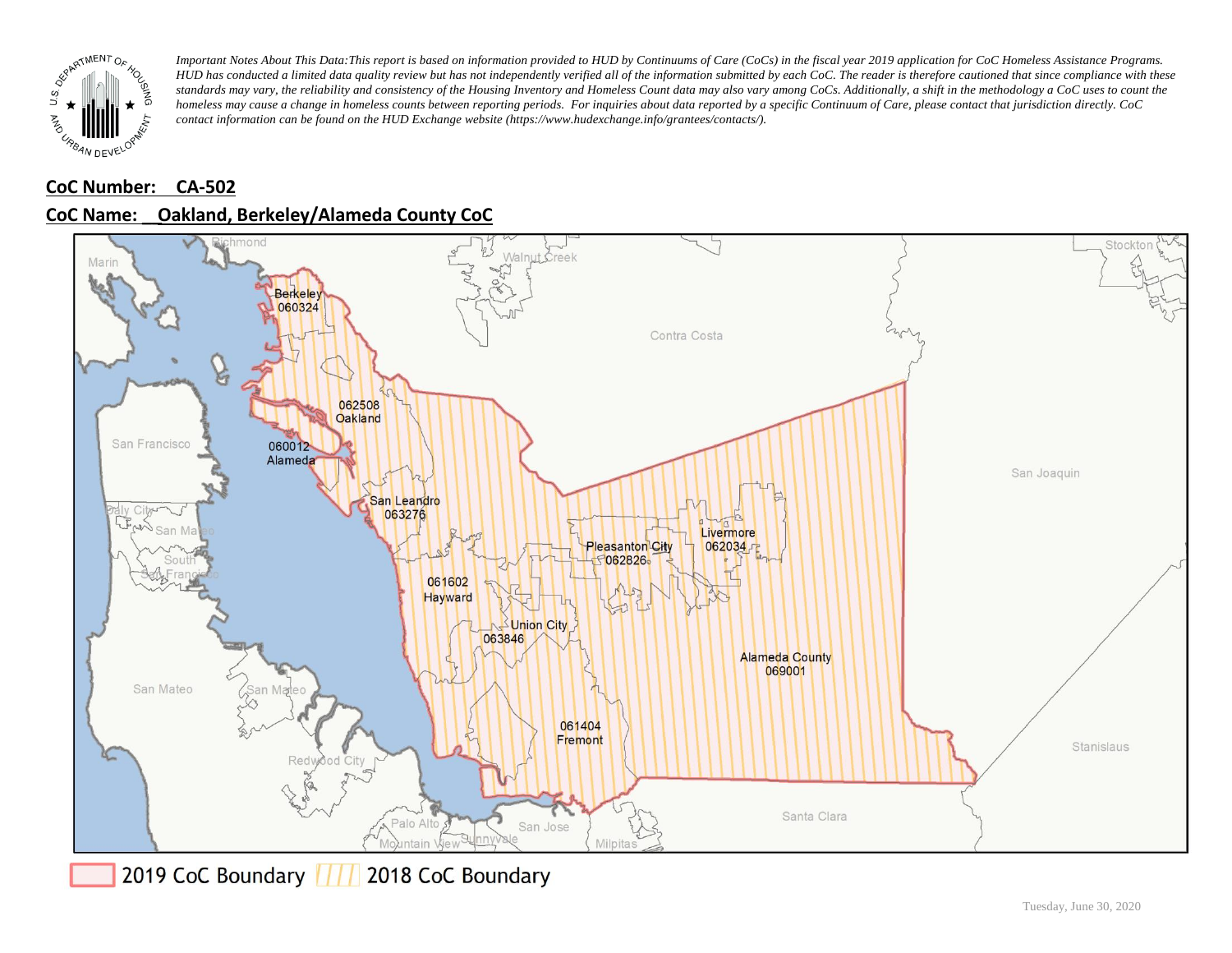

### **CoC Number: CA-502**





2019 CoC Boundary | | | 2018 CoC Boundary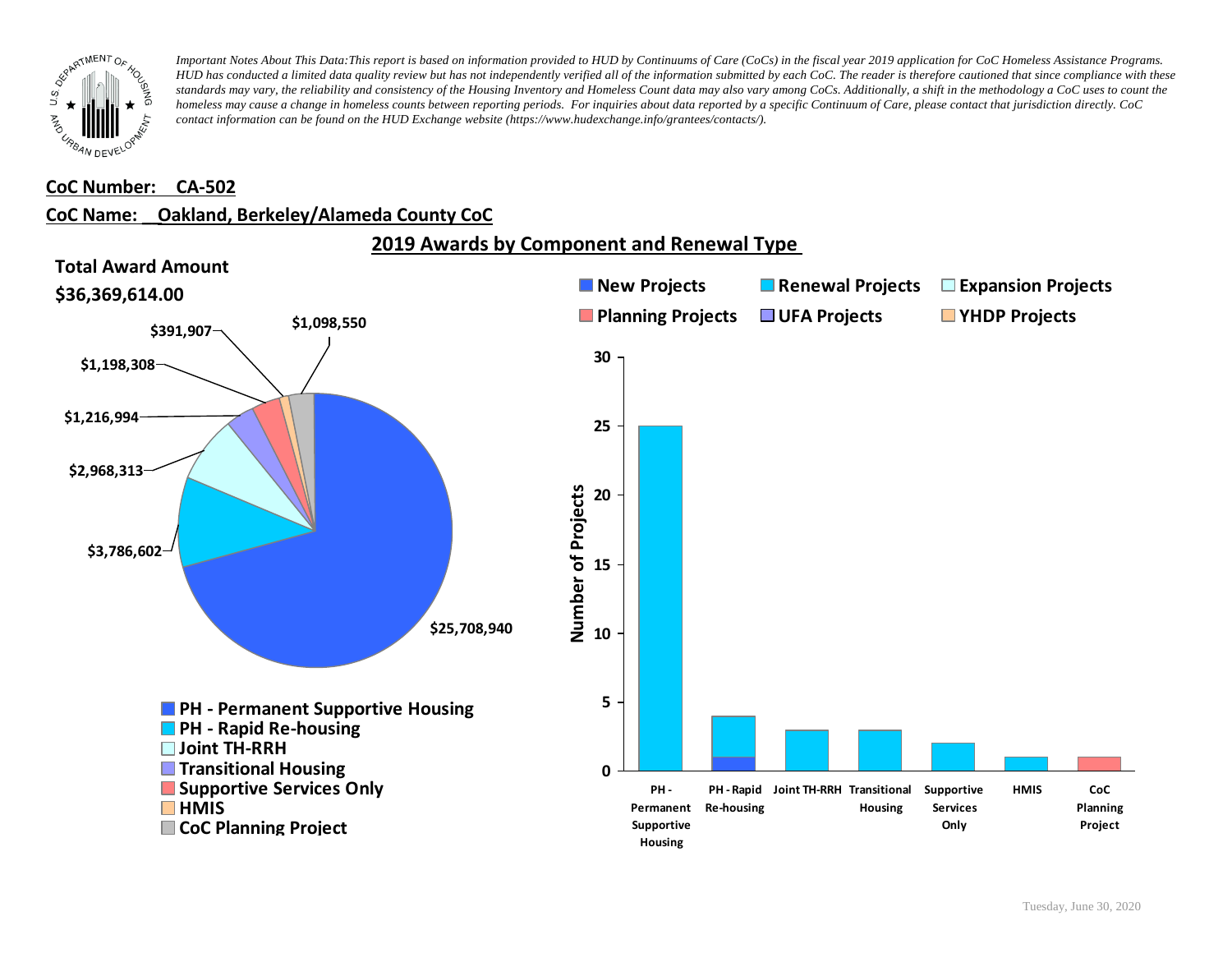

#### **CoC Number: CA-502**

## **CoC Name: \_\_ Oakland, Berkeley/Alameda County CoC**

**2019 Awards by Component and Renewal Type** 

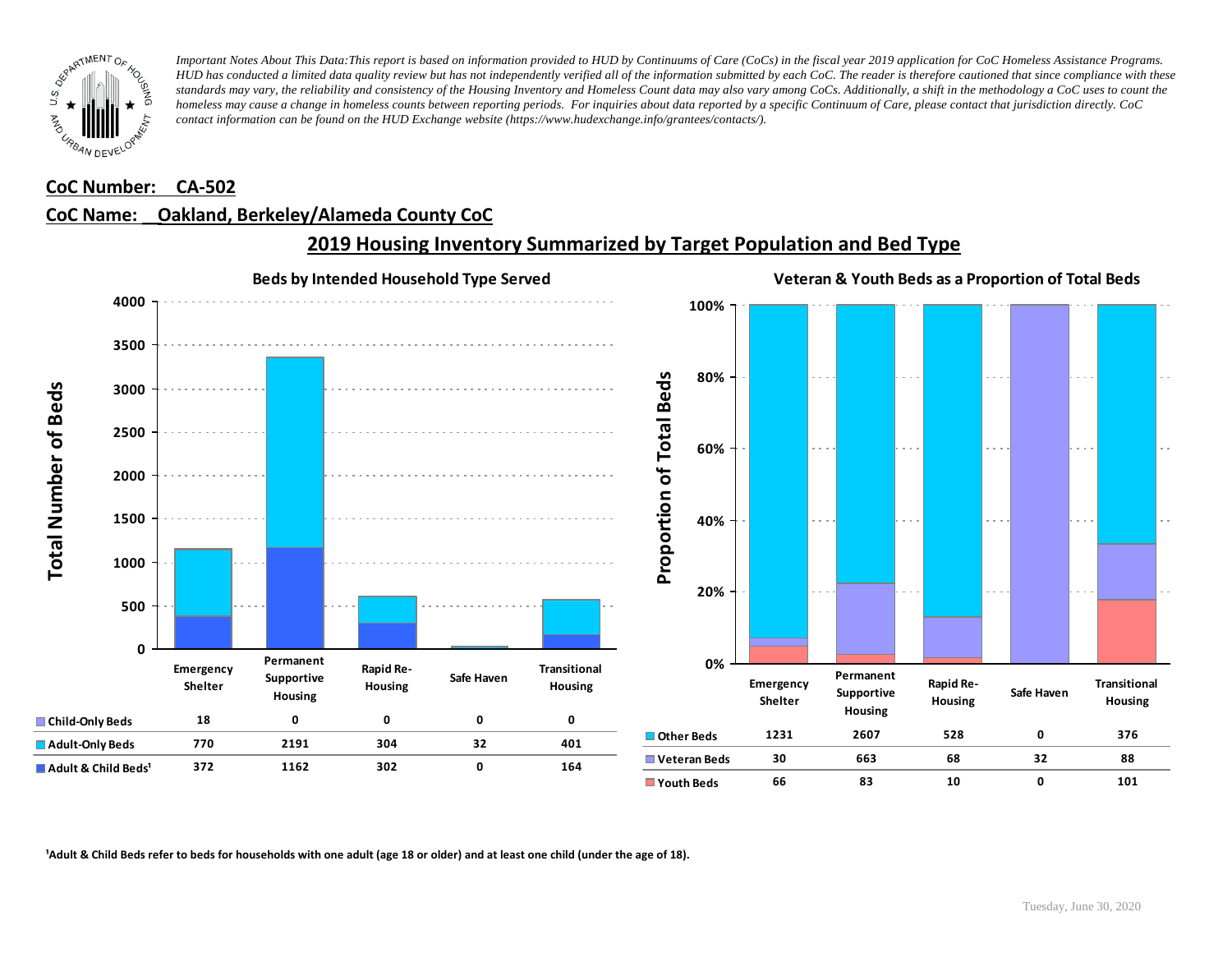

#### **CoC Number: CA-502**

### **CoC Name: \_\_ Oakland, Berkeley/Alameda County CoC**



# **2019 Housing Inventory Summarized by Target Population and Bed Type**

<sup>1</sup> Adult & Child Beds refer to beds for households with one adult (age 18 or older) and at least one child (under the age of 18).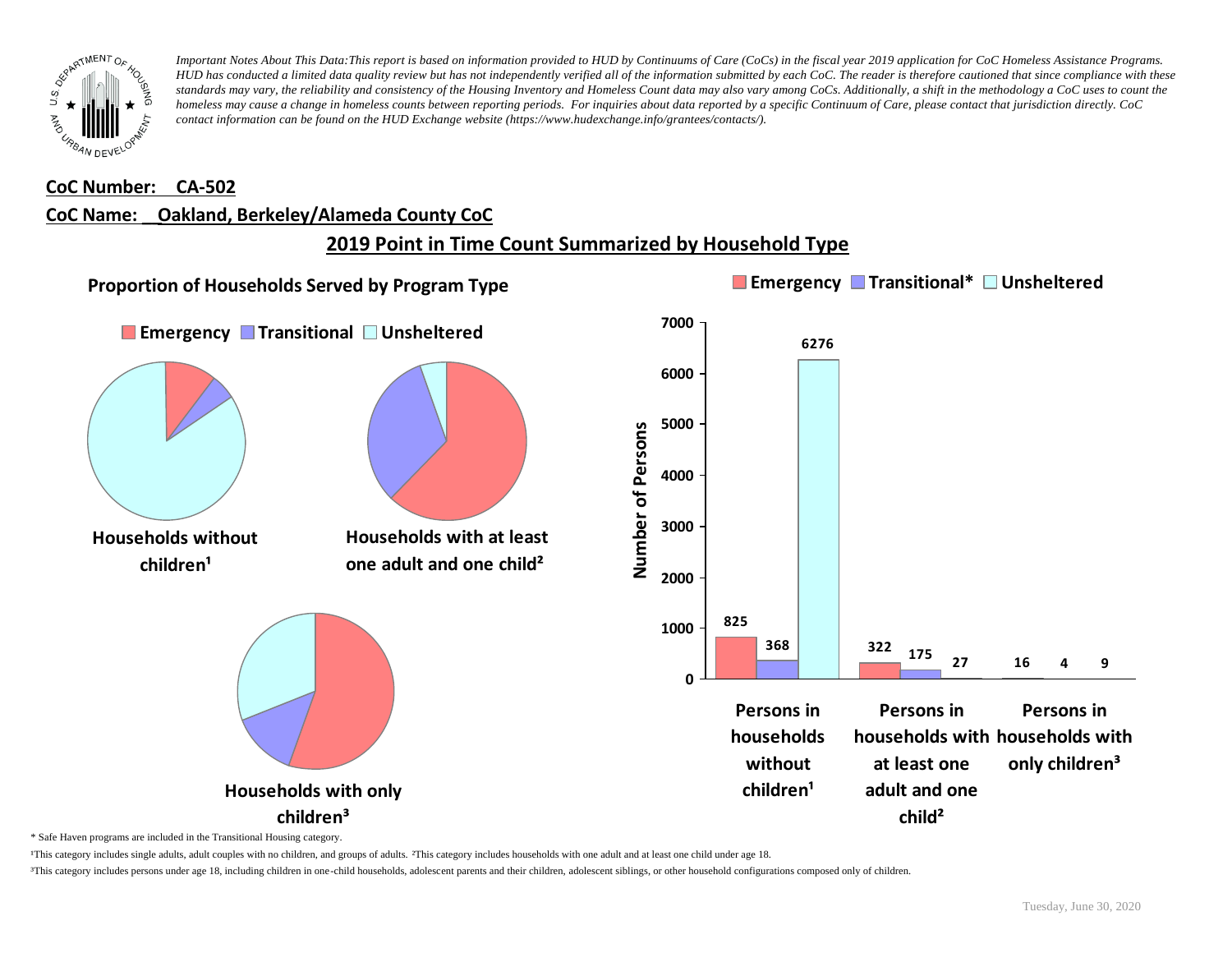

#### **CoC Number: CA-502**

#### **CoC Name: \_\_ Oakland, Berkeley/Alameda County CoC**

# **2019 Point in Time Count Summarized by Household Type**



\* Safe Haven programs are included in the Transitional Housing category.

¹This category includes single adults, adult couples with no children, and groups of adults. ²This category includes households with one adult and at least one child under age 18.

³This category includes persons under age 18, including children in one-child households, adolescent parents and their children, adolescent siblings, or other household configurations composed only of children.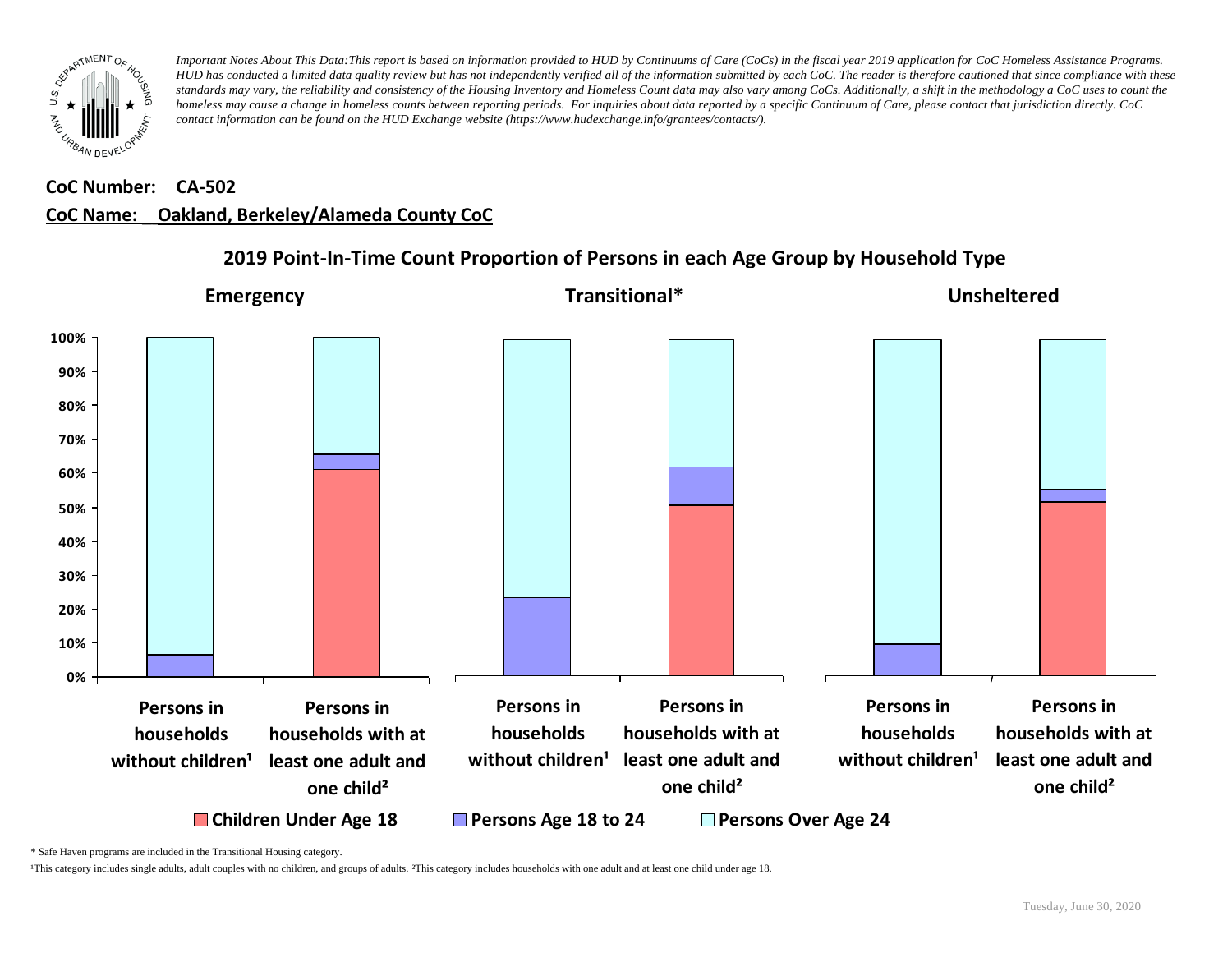

#### **CoC Number: CA-502**

### **CoC Name: \_\_ Oakland, Berkeley/Alameda County CoC**



### **2019 Point-In-Time Count Proportion of Persons in each Age Group by Household Type**

\* Safe Haven programs are included in the Transitional Housing category.

¹This category includes single adults, adult couples with no children, and groups of adults. ²This category includes households with one adult and at least one child under age 18.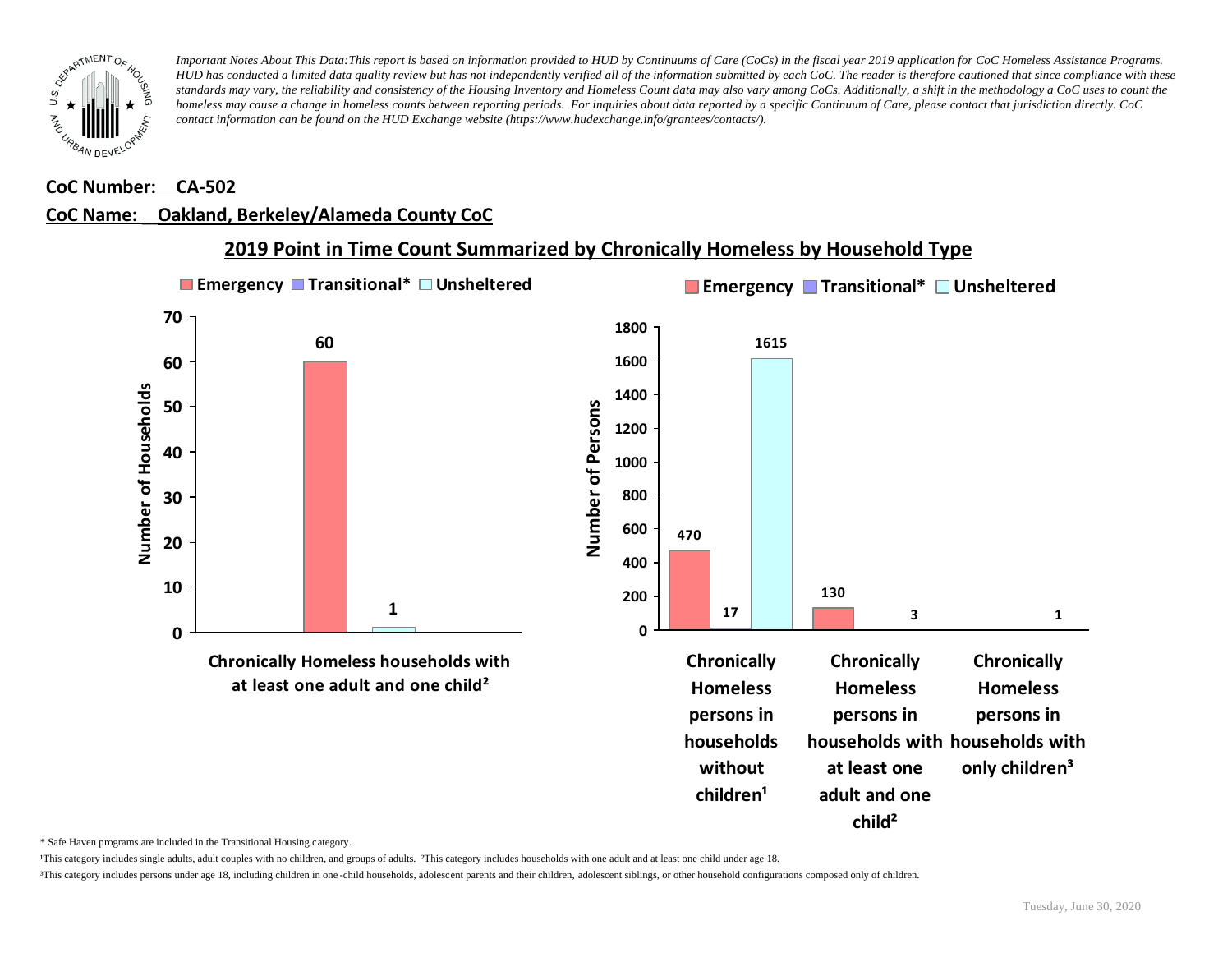

#### **CoC Number: CA-502**

# **CoC Name: \_\_ Oakland, Berkeley/Alameda County CoC**



## **2019 Point in Time Count Summarized by Chronically Homeless by Household Type**

\* Safe Haven programs are included in the Transitional Housing category.

¹This category includes single adults, adult couples with no children, and groups of adults. ²This category includes households with one adult and at least one child under age 18.

³This category includes persons under age 18, including children in one -child households, adolescent parents and their children, adolescent siblings, or other household configurations composed only of children.